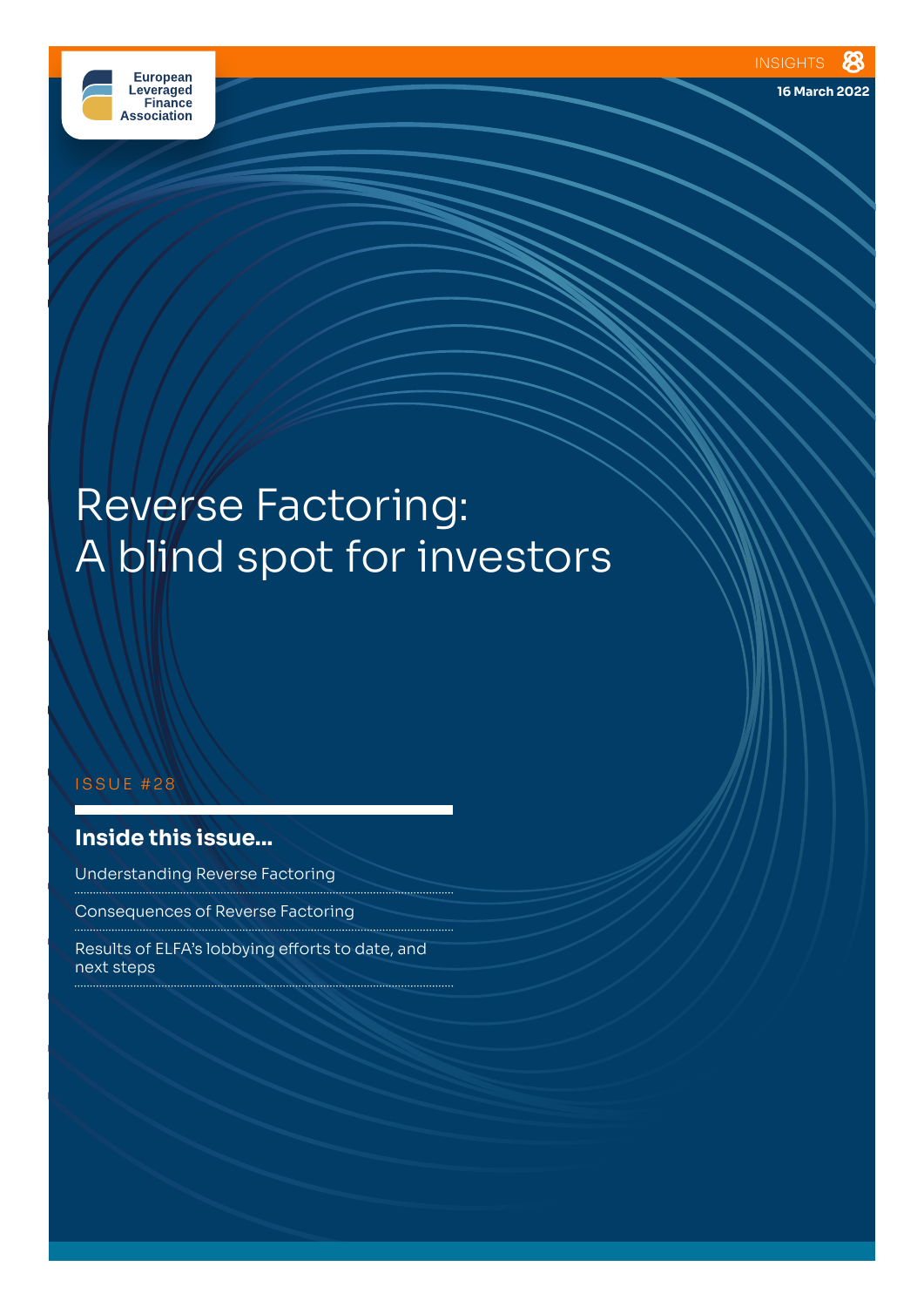

# Reverse Factoring: A blind spot for investors

. . . . . . . . . . . .

#### ISSUE #28

# **Inside this issue...**

Understanding Reverse Factoring

Consequences of Reverse Factoring 

Results of ELFA's lobbying efforts to date, and next steps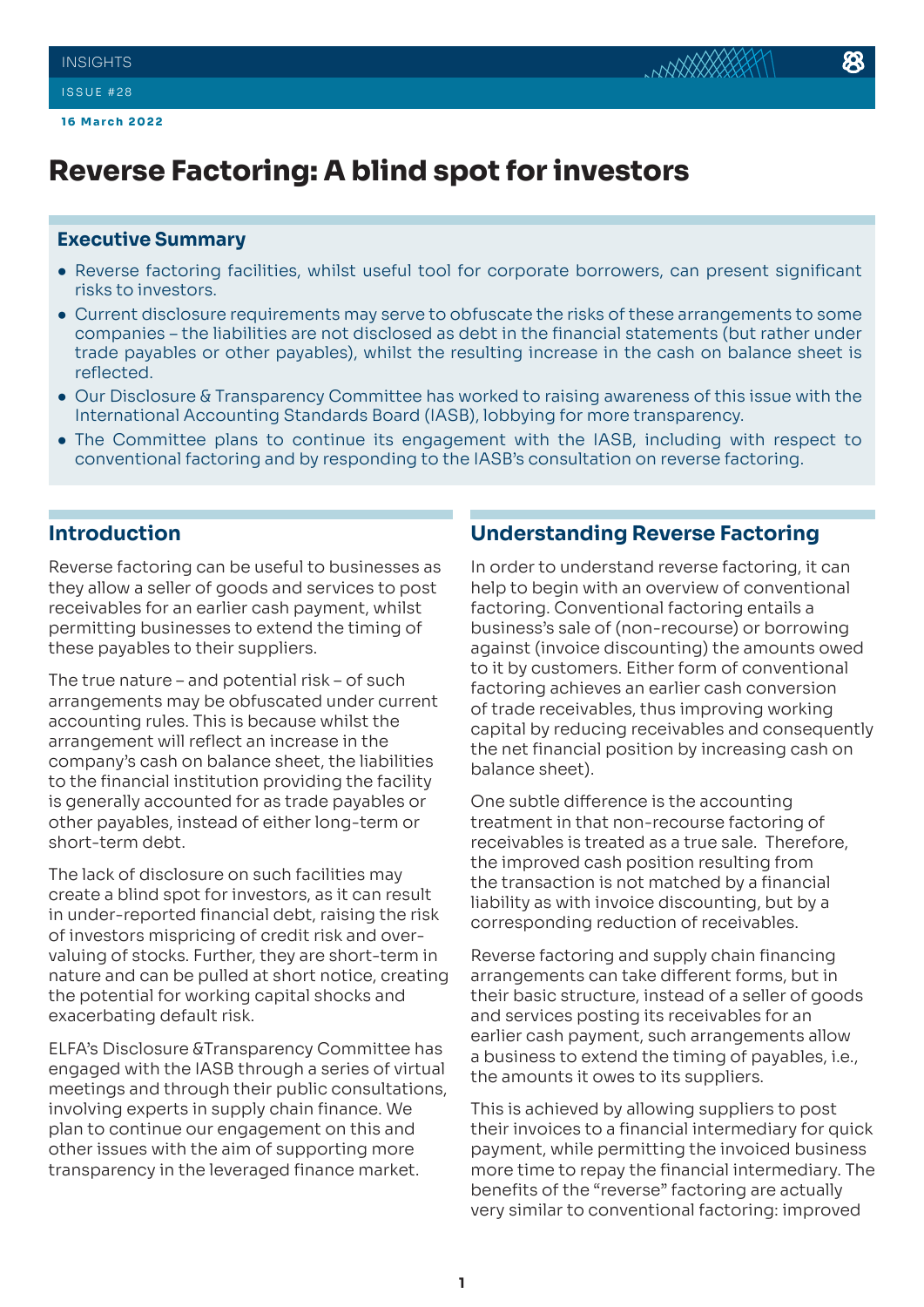# **Reverse Factoring: A blind spot for investors**

#### **Executive Summary**

- Reverse factoring facilities, whilst useful tool for corporate borrowers, can present significant risks to investors.
- Current disclosure requirements may serve to obfuscate the risks of these arrangements to some companies – the liabilities are not disclosed as debt in the financial statements (but rather under trade payables or other payables), whilst the resulting increase in the cash on balance sheet is reflected.
- Our Disclosure & Transparency Committee has worked to raising awareness of this issue with the International Accounting Standards Board (IASB), lobbying for more transparency.
- The Committee plans to continue its engagement with the IASB, including with respect to conventional factoring and by responding to the IASB's consultation on reverse factoring.

### **Introduction**

Reverse factoring can be useful to businesses as they allow a seller of goods and services to post receivables for an earlier cash payment, whilst permitting businesses to extend the timing of these payables to their suppliers.

The true nature – and potential risk – of such arrangements may be obfuscated under current accounting rules. This is because whilst the arrangement will reflect an increase in the company's cash on balance sheet, the liabilities to the financial institution providing the facility is generally accounted for as trade payables or other payables, instead of either long-term or short-term debt.

The lack of disclosure on such facilities may create a blind spot for investors, as it can result in under-reported financial debt, raising the risk of investors mispricing of credit risk and overvaluing of stocks. Further, they are short-term in nature and can be pulled at short notice, creating the potential for working capital shocks and exacerbating default risk.

ELFA's Disclosure &Transparency Committee has engaged with the IASB through a series of virtual meetings and through their public consultations, involving experts in supply chain finance. We plan to continue our engagement on this and other issues with the aim of supporting more transparency in the leveraged finance market.

## **Understanding Reverse Factoring**

In order to understand reverse factoring, it can help to begin with an overview of conventional factoring. Conventional factoring entails a business's sale of (non-recourse) or borrowing against (invoice discounting) the amounts owed to it by customers. Either form of conventional factoring achieves an earlier cash conversion of trade receivables, thus improving working capital by reducing receivables and consequently the net financial position by increasing cash on balance sheet).

One subtle difference is the accounting treatment in that non-recourse factoring of receivables is treated as a true sale. Therefore, the improved cash position resulting from the transaction is not matched by a financial liability as with invoice discounting, but by a corresponding reduction of receivables.

Reverse factoring and supply chain financing arrangements can take different forms, but in their basic structure, instead of a seller of goods and services posting its receivables for an earlier cash payment, such arrangements allow a business to extend the timing of payables, i.e., the amounts it owes to its suppliers.

This is achieved by allowing suppliers to post their invoices to a financial intermediary for quick payment, while permitting the invoiced business more time to repay the financial intermediary. The benefits of the "reverse" factoring are actually very similar to conventional factoring: improved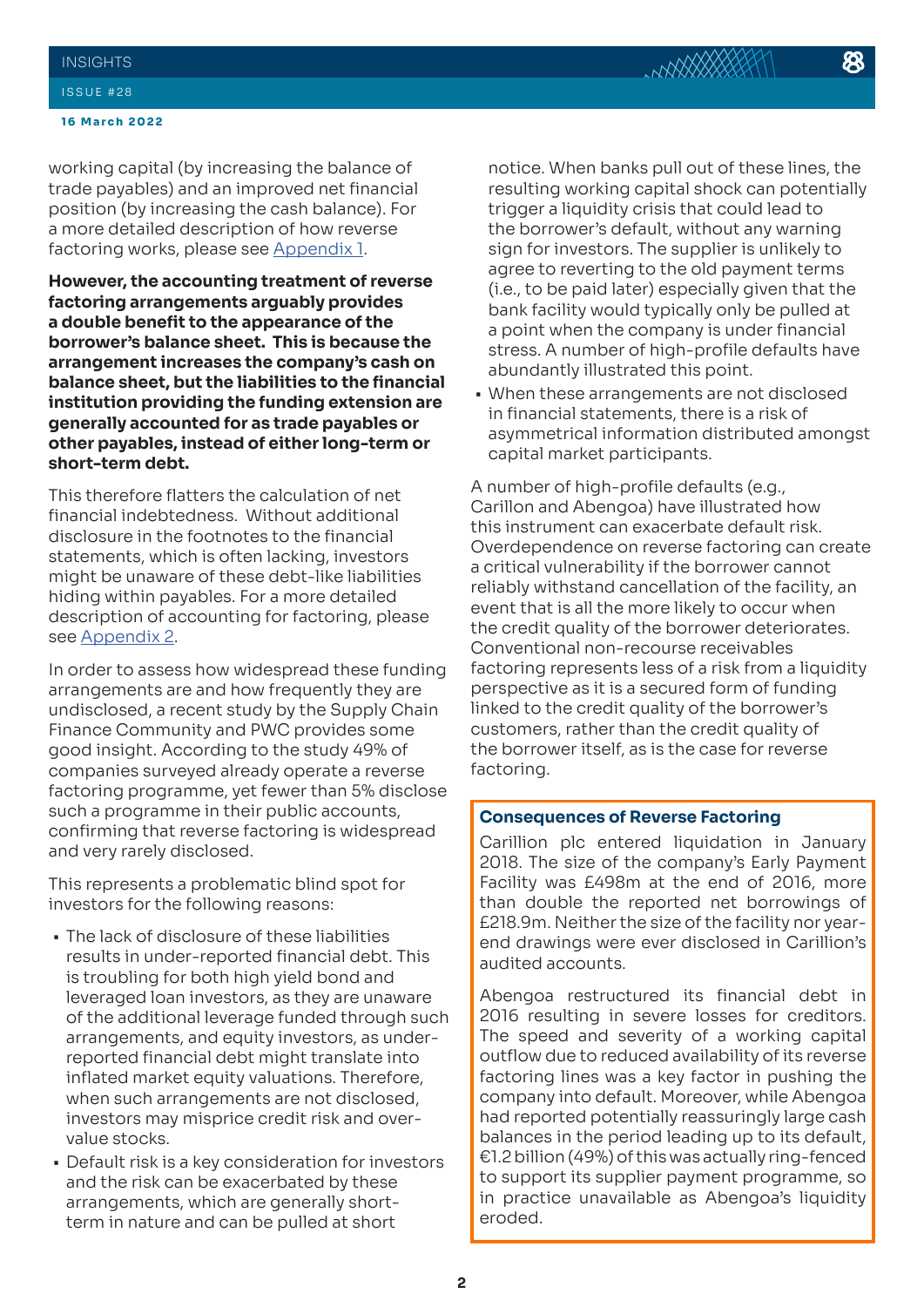working capital (by increasing the balance of trade payables) and an improved net financial position (by increasing the cash balance). For a more detailed description of how reverse factoring works, please see [Appendix 1](#page-4-0).

**However, the accounting treatment of reverse factoring arrangements arguably provides a double benefit to the appearance of the borrower's balance sheet. This is because the arrangement increases the company's cash on balance sheet, but the liabilities to the financial institution providing the funding extension are generally accounted for as trade payables or other payables, instead of either long-term or short-term debt.** 

This therefore flatters the calculation of net financial indebtedness. Without additional disclosure in the footnotes to the financial statements, which is often lacking, investors might be unaware of these debt-like liabilities hiding within payables. For a more detailed description of accounting for factoring, please see [Appendix 2](#page-5-0).

In order to assess how widespread these funding arrangements are and how frequently they are undisclosed, a recent study by the Supply Chain Finance Community and PWC provides some good insight. According to the study 49% of companies surveyed already operate a reverse factoring programme, yet fewer than 5% disclose such a programme in their public accounts, confirming that reverse factoring is widespread and very rarely disclosed.

This represents a problematic blind spot for investors for the following reasons:

- The lack of disclosure of these liabilities results in under-reported financial debt. This is troubling for both high yield bond and leveraged loan investors, as they are unaware of the additional leverage funded through such arrangements, and equity investors, as underreported financial debt might translate into inflated market equity valuations. Therefore, when such arrangements are not disclosed, investors may misprice credit risk and overvalue stocks.
- Default risk is a key consideration for investors and the risk can be exacerbated by these arrangements, which are generally shortterm in nature and can be pulled at short

notice. When banks pull out of these lines, the resulting working capital shock can potentially trigger a liquidity crisis that could lead to the borrower's default, without any warning sign for investors. The supplier is unlikely to agree to reverting to the old payment terms (i.e., to be paid later) especially given that the bank facility would typically only be pulled at a point when the company is under financial stress. A number of high-profile defaults have abundantly illustrated this point.

**NAXXXXXXX** 

• When these arrangements are not disclosed in financial statements, there is a risk of asymmetrical information distributed amongst capital market participants.

A number of high-profile defaults (e.g., Carillon and Abengoa) have illustrated how this instrument can exacerbate default risk. Overdependence on reverse factoring can create a critical vulnerability if the borrower cannot reliably withstand cancellation of the facility, an event that is all the more likely to occur when the credit quality of the borrower deteriorates. Conventional non-recourse receivables factoring represents less of a risk from a liquidity perspective as it is a secured form of funding linked to the credit quality of the borrower's customers, rather than the credit quality of the borrower itself, as is the case for reverse factoring.

#### **Consequences of Reverse Factoring**

Carillion plc entered liquidation in January 2018. The size of the company's Early Payment Facility was £498m at the end of 2016, more than double the reported net borrowings of £218.9m. Neither the size of the facility nor yearend drawings were ever disclosed in Carillion's audited accounts.

Abengoa restructured its financial debt in 2016 resulting in severe losses for creditors. The speed and severity of a working capital outflow due to reduced availability of its reverse factoring lines was a key factor in pushing the company into default. Moreover, while Abengoa had reported potentially reassuringly large cash balances in the period leading up to its default, €1.2 billion (49%) of this was actually ring-fenced to support its supplier payment programme, so in practice unavailable as Abengoa's liquidity eroded.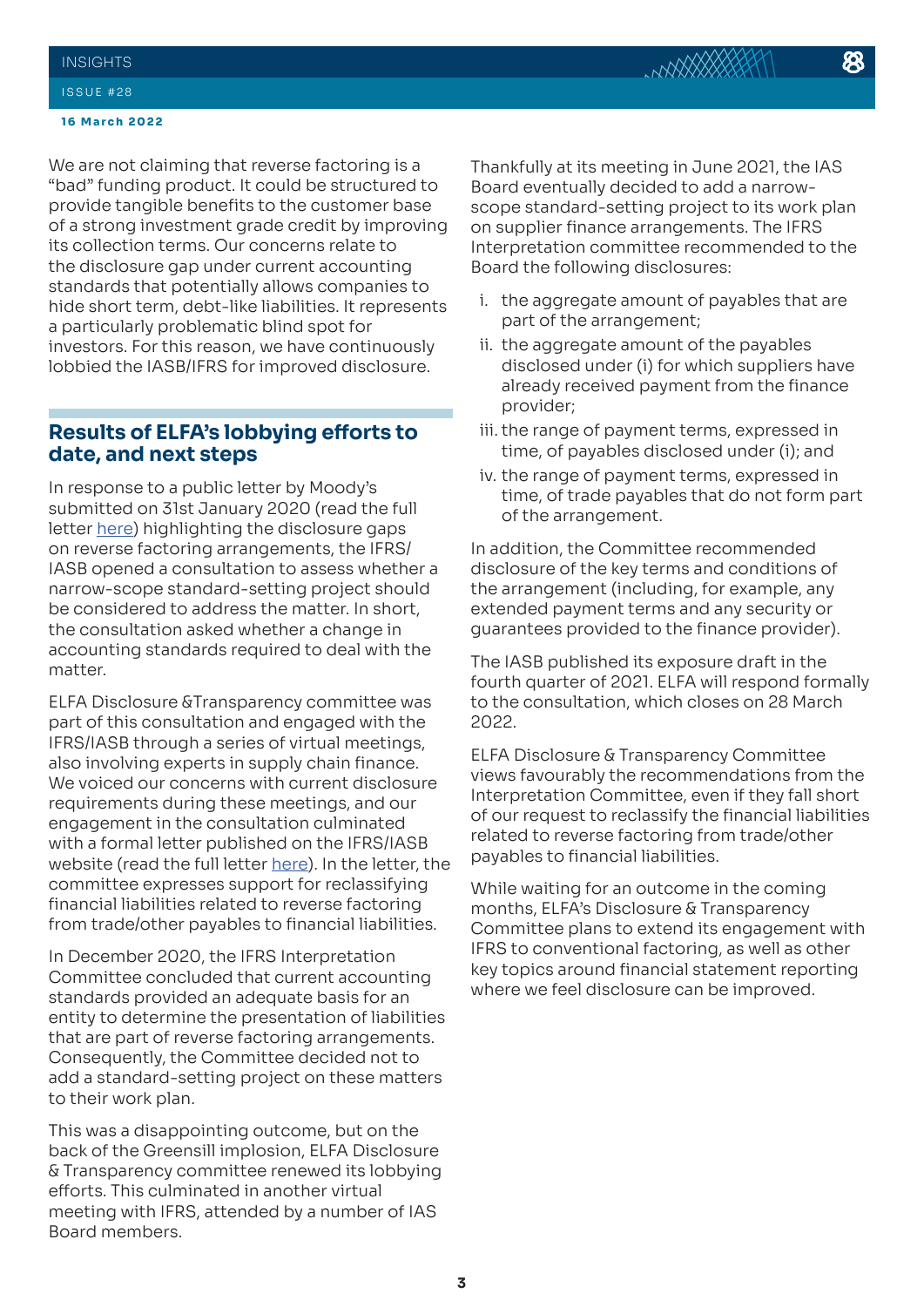#### **INSIGHTS**

#### ISSUE #28

#### **16 March 2022**

We are not claiming that reverse factoring is a "bad" funding product. It could be structured to provide tangible benefits to the customer base of a strong investment grade credit by improving its collection terms. Our concerns relate to the disclosure gap under current accounting standards that potentially allows companies to hide short term, debt-like liabilities. It represents a particularly problematic blind spot for investors. For this reason, we have continuously lobbied the IASB/IFRS for improved disclosure.

# **Results of ELFA's lobbying efforts to date, and next steps**

In response to a public letter by Moody's submitted on 31st January 2020 (read the full letter [here\)](https://cdn.ifrs.org/-/media/feature/groups/ifric/requests-to-be-considered-at-a-future-committee-meeting/supply-chain-financing.pdf) highlighting the disclosure gaps on reverse factoring arrangements, the IFRS/ IASB opened a consultation to assess whether a narrow-scope standard-setting project should be considered to address the matter. In short, the consultation asked whether a change in accounting standards required to deal with the matter.

ELFA Disclosure &Transparency committee was part of this consultation and engaged with the IFRS/IASB through a series of virtual meetings, also involving experts in supply chain finance. We voiced our concerns with current disclosure requirements during these meetings, and our engagement in the consultation culminated with a formal letter published on the IFRS/IASB website (read the full letter [here](https://cdn.ifrs.org/-/media/feature/groups/ifric/requests-to-be-considered-at-a-future-committee-meeting/supply-chain-financing.pdf)). In the letter, the committee expresses support for reclassifying financial liabilities related to reverse factoring from trade/other payables to financial liabilities.

In December 2020, the IFRS Interpretation Committee concluded that current accounting standards provided an adequate basis for an entity to determine the presentation of liabilities that are part of reverse factoring arrangements. Consequently, the Committee decided not to add a standard-setting project on these matters to their work plan.

This was a disappointing outcome, but on the back of the Greensill implosion, ELFA Disclosure & Transparency committee renewed its lobbying efforts. This culminated in another virtual meeting with IFRS, attended by a number of IAS Board members.

Thankfully at its meeting in June 2021, the IAS Board eventually decided to add a narrowscope standard-setting project to its work plan on supplier finance arrangements. The IFRS Interpretation committee recommended to the Board the following disclosures:

- i. the aggregate amount of payables that are part of the arrangement;
- ii. the aggregate amount of the payables disclosed under (i) for which suppliers have already received payment from the finance provider;
- iii. the range of payment terms, expressed in time, of payables disclosed under (i); and
- iv. the range of payment terms, expressed in time, of trade payables that do not form part of the arrangement.

In addition, the Committee recommended disclosure of the key terms and conditions of the arrangement (including, for example, any extended payment terms and any security or guarantees provided to the finance provider).

The IASB published its exposure draft in the fourth quarter of 2021. ELFA will respond formally to the consultation, which closes on 28 March 2022.

ELFA Disclosure & Transparency Committee views favourably the recommendations from the Interpretation Committee, even if they fall short of our request to reclassify the financial liabilities related to reverse factoring from trade/other payables to financial liabilities.

While waiting for an outcome in the coming months, ELFA's Disclosure & Transparency Committee plans to extend its engagement with IFRS to conventional factoring, as well as other key topics around financial statement reporting where we feel disclosure can be improved.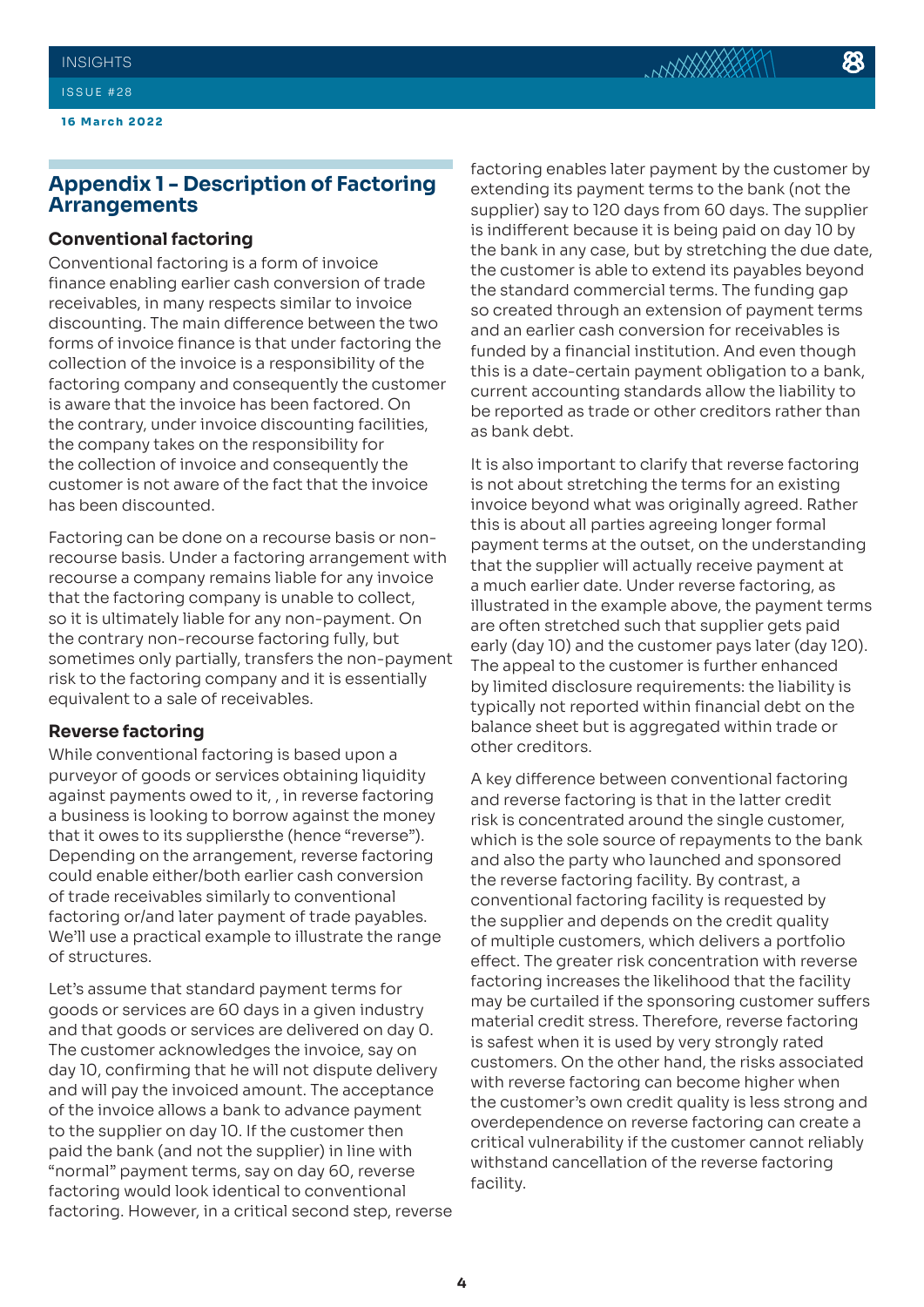**16 March 2022**

# <span id="page-4-0"></span>**Appendix 1 - Description of Factoring Arrangements**

#### **Conventional factoring**

Conventional factoring is a form of invoice finance enabling earlier cash conversion of trade receivables, in many respects similar to invoice discounting. The main difference between the two forms of invoice finance is that under factoring the collection of the invoice is a responsibility of the factoring company and consequently the customer is aware that the invoice has been factored. On the contrary, under invoice discounting facilities, the company takes on the responsibility for the collection of invoice and consequently the customer is not aware of the fact that the invoice has been discounted.

Factoring can be done on a recourse basis or nonrecourse basis. Under a factoring arrangement with recourse a company remains liable for any invoice that the factoring company is unable to collect, so it is ultimately liable for any non-payment. On the contrary non-recourse factoring fully, but sometimes only partially, transfers the non-payment risk to the factoring company and it is essentially equivalent to a sale of receivables.

#### **Reverse factoring**

While conventional factoring is based upon a purveyor of goods or services obtaining liquidity against payments owed to it, , in reverse factoring a business is looking to borrow against the money that it owes to its suppliersthe (hence "reverse"). Depending on the arrangement, reverse factoring could enable either/both earlier cash conversion of trade receivables similarly to conventional factoring or/and later payment of trade payables. We'll use a practical example to illustrate the range of structures.

Let's assume that standard payment terms for goods or services are 60 days in a given industry and that goods or services are delivered on day 0. The customer acknowledges the invoice, say on day 10, confirming that he will not dispute delivery and will pay the invoiced amount. The acceptance of the invoice allows a bank to advance payment to the supplier on day 10. If the customer then paid the bank (and not the supplier) in line with "normal" payment terms, say on day 60, reverse factoring would look identical to conventional factoring. However, in a critical second step, reverse

factoring enables later payment by the customer by extending its payment terms to the bank (not the supplier) say to 120 days from 60 days. The supplier is indifferent because it is being paid on day 10 by the bank in any case, but by stretching the due date, the customer is able to extend its payables beyond the standard commercial terms. The funding gap so created through an extension of payment terms and an earlier cash conversion for receivables is funded by a financial institution. And even though this is a date-certain payment obligation to a bank, current accounting standards allow the liability to be reported as trade or other creditors rather than as bank debt.

It is also important to clarify that reverse factoring is not about stretching the terms for an existing invoice beyond what was originally agreed. Rather this is about all parties agreeing longer formal payment terms at the outset, on the understanding that the supplier will actually receive payment at a much earlier date. Under reverse factoring, as illustrated in the example above, the payment terms are often stretched such that supplier gets paid early (day 10) and the customer pays later (day 120). The appeal to the customer is further enhanced by limited disclosure requirements: the liability is typically not reported within financial debt on the balance sheet but is aggregated within trade or other creditors.

A key difference between conventional factoring and reverse factoring is that in the latter credit risk is concentrated around the single customer, which is the sole source of repayments to the bank and also the party who launched and sponsored the reverse factoring facility. By contrast, a conventional factoring facility is requested by the supplier and depends on the credit quality of multiple customers, which delivers a portfolio effect. The greater risk concentration with reverse factoring increases the likelihood that the facility may be curtailed if the sponsoring customer suffers material credit stress. Therefore, reverse factoring is safest when it is used by very strongly rated customers. On the other hand, the risks associated with reverse factoring can become higher when the customer's own credit quality is less strong and overdependence on reverse factoring can create a critical vulnerability if the customer cannot reliably withstand cancellation of the reverse factoring facility.